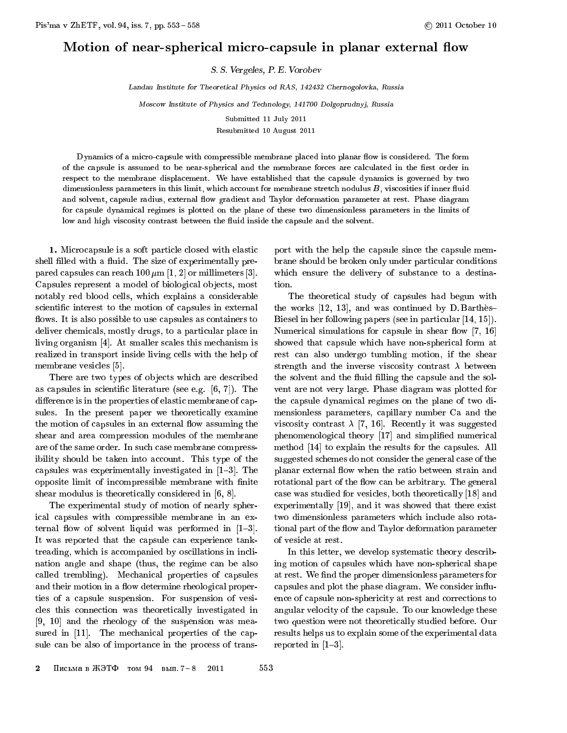## Motion of near-spherical micro-capsule in planar external flow

S. S. Vergeles, P. E. Vorobev

Landau Institute for Theoretical Physics od RAS, 142432 Chernogolovka, Russia

Moscow Institute of Physics and Technology, 141700 Dolgoprudnyj, Russia

Submitted 11 July 2011 Resubmitted 10 August 2011

Dynamics of a micro-capsule with compressible membrane placed into planar flow is considered. The form of the capsule is assumed to be near-spherical and the membrane forces are calculated in the first order in respect to the membrane displacement. We have established that the capsule dynamics is governed by two dimensionless parameters in this limit, which account for membrane stretch nodulus  $B$ , viscosities if inner fluid and solvent, capsule radius, external flow gradient and Taylor deformation parameter at rest. Phase diagram for capsule dynamical regimes is plotted on the plane of these two dimensionless parameters in the limits of low and high viscosity contrast between the fluid inside the capsule and the solvent.

1. Microcapsule is a soft particle closed with elastic shell filled with a fluid. The size of experimentally prepared capsules can reach  $100 \mu m$  [1, 2] or millimeters [3]. Capsules represent a model of biological objects, most notably red blood cells, which explains a considerable scientic interest to the motion of capsules in external flows. It is also possible to use capsules as containers to deliver chemicals, mostly drugs, to a particular place in living organism [4]. At smaller scales this mechanism is realized in transport inside living cells with the help of membrane vesicles [5].

There are two types of objects which are described as capsules in scientic literature (see e.g. [6, 7]). The difference is in the properties of elastic membrane of capsules. In the present paper we theoretically examine the motion of capsules in an external flow assuming the shear and area compression modules of the membrane are of the same order. In such case membrane compressibility should be taken into account. This type of the capsules was experimentally investigated in  $[1{-}3]$ . The opposite limit of incompressible membrane with finite shear modulus is theoretically considered in [6, 8].

The experimental study of motion of nearly spherical capsules with compressible membrane in an external flow of solvent liquid was performed in  $[1-3]$ . It was reported that the capsule can experience tanktreading, which is accompanied by oscillations in inclination angle and shape (thus, the regime can be also called trembling). Mechanical properties of capsules and their motion in a flow determine rheological properties of a capsule suspension. For suspension of vesicles this connection was theoretically investigated in [9, 10] and the rheology of the suspension was measured in [11]. The mechanical properties of the capsule can be also of importance in the process of transport with the help the capsule since the capsule membrane should be broken only under particular conditions which ensure the delivery of substance to a destination.

The theoretical study of capsules had begun with the works  $[12, 13]$ , and was continued by D. Barthes-Biesel in her following papers (see in particular [14, 15]). Numerical simulations for capsule in shear flow  $[7, 16]$ showed that capsule which have non-spherical form at rest can also undergo tumbling motion, if the shear strength and the inverse viscosity contrast  $\lambda$  between the solvent and the fluid filling the capsule and the solvent are not very large. Phase diagram was plotted for the capsule dynamical regimes on the plane of two dimensionless parameters, capillary number Ca and the viscosity contrast  $\lambda$  [7, 16]. Recently it was suggested phenomenological theory [17] and simplified numerical method [14] to explain the results for the capsules. All suggested schemes do not consider the general case of the planar external flow when the ratio between strain and rotational part of the flow can be arbitrary. The general case was studied for vesicles, both theoretically [18] and experimentally [19], and it was showed that there exist two dimensionless parameters which include also rotational part of the flow and Taylor deformation parameter of vesicle at rest.

In this letter, we develop systematic theory describing motion of capsules which have non-spherical shape at rest. We find the proper dimensionless parameters for capsules and plot the phase diagram. We consider in
uence of capsule non-sphericity at rest and corrections to angular velocity of the capsule. To our knowledge these two question were not theoretically studied before. Our results helps us to explain some of the experimental data reported in  $[1-3]$ .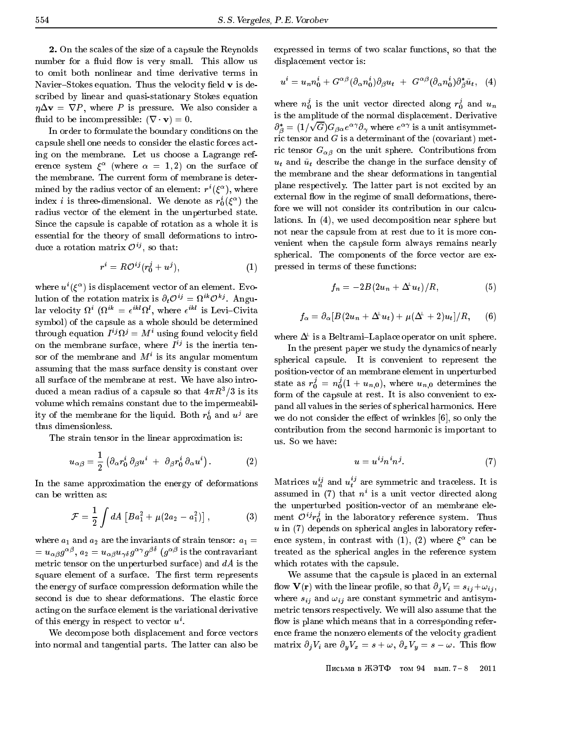2. On the scales of the size of a capsule the Reynolds number for a fluid flow is very small. This allow us to omit both nonlinear and time derivative terms in Navier-Stokes equation. Thus the velocity field  $\bf{v}$  is described by linear and quasi-stationary Stokes equation  $\eta \Delta \mathbf{v} = \nabla P$ , where P is pressure. We also consider a fluid to be incompressible:  $(\nabla \cdot \mathbf{v}) = 0$ .

In order to formulate the boundary conditions on the capsule shell one needs to consider the elastic forces acting on the membrane. Let us choose a Lagrange reference system  $\xi^-$  (where  $\alpha = 1, 2$ ) on the surface of the membrane. The current form of membrane is deter $m$ inined by the radius vector of an element:  $r$  ( $\varepsilon$  ), where index *i* is three-dimensional. We denote as  $r_0(\xi^-)$  the radius vector of the element in the unperturbed state. Since the capsule is capable of rotation as a whole it is essential for the theory of small deformations to introque a rotation matrix  $O^\vee$ , so that:

$$
r^i = R\mathcal{O}^{ij}(r_0^j + u^j),\tag{1}
$$

where  $u^{\dagger}(\xi^{\dagger})$  is displacement vector of an element. Evoitution of the rotation matrix is  $\partial_t \mathcal{O}^{ij} = \Omega^{i} \mathcal{O}^{ij}$ . Angular velocity  $u^+(u^- = e^- u)$ , where  $e^-$  is Levi-Civita symbol) of the capsule as a whole should be determined through equation  $I^{\downarrow} \Omega^{\downarrow} = M^{\uparrow}$  using found velocity field on the membrane surface, where  $I \rightarrow$  is the inertia tensor of the membrane and  $M$  is its angular momentum assuming that the mass surface density is constant over all surface of the membrane at rest. We have also introduced a mean radius of a capsule so that  $4\pi\pi$  /3 is its volume which remains constant due to the impermeability of the membrane for the iiquid. Both  $r_0$  and  $u<sup>3</sup>$  are thus dimensionless.

The strain tensor in the linear approximation is:

$$
u_{\alpha\beta} = \frac{1}{2} \left( \partial_{\alpha} r_0^i \, \partial_{\beta} u^i + \partial_{\beta} r_0^i \, \partial_{\alpha} u^i \right). \tag{2}
$$

In the same approximation the energy of deformations can be written as:

$$
\mathcal{F} = \frac{1}{2} \int dA \left[ B a_1^2 + \mu (2a_2 - a_1^2) \right], \tag{3}
$$

where  $a_1$  and  $a_2$  are the invariants of strain tensor:  $a_1 =$  $u_{\alpha\beta}g^{-\nu}$ ,  $a_2=u_{\alpha\beta}u_{\gamma\delta}g^{-\nu}g^{-\nu}$  (g<sup>-10</sup> is the contravariant metric tensor on the unperturbed surface) and  $dA$  is the square element of a surface. The first term represents the energy of surface compression deformation while the second is due to shear deformations. The elastic force acting on the surface element is the variational derivative of this energy in respect to vector  $u$  .

We decompose both displacement and force vectors into normal and tangential parts. The latter can also be

expressed in terms of two scalar functions, so that the displacement vector is:

$$
u^{i} = u_{n}n_{0}^{i} + G^{\alpha\beta}(\partial_{\alpha}n_{0}^{i})\partial_{\beta}u_{t} + G^{\alpha\beta}(\partial_{\alpha}n_{0}^{i})\partial_{\beta}^{*}\tilde{u}_{t}, \quad (4)
$$

where  $n_0^{\prime}$  is the unit vector directed along  $r_0^{\prime}$  and  $u_n$ is the amplitude of the normal displacement. Derivative  $\sigma_{\beta} = (1/2)$  $\sqrt{G}G_{\beta\alpha}e^{\alpha\gamma}\partial_{\gamma}$  where  $e^{\alpha\gamma}$  is a unit antisymmetric tensor and  $G$  is a determinant of the (covariant) metric tensor  $G_{\alpha\beta}$  on the unit sphere. Contributions from  $u_t$  and  $\tilde{u}_t$  describe the change in the surface density of the membrane and the shear deformations in tangential plane respectively. The latter part is not excited by an external flow in the regime of small deformations, therefore we will not consider its contribution in our calculations. In (4), we used decomposition near sphere but not near the capsule from at rest due to it is more convenient when the capsule form always remains nearly spherical. The components of the force vector are expressed in terms of these functions:

$$
f_n = -2B(2u_n + \Delta^{\perp} u_t)/R, \qquad (5)
$$

$$
f_{\alpha} = \partial_{\alpha} \left[ B(2u_n + \Delta^{\!\perp} u_t) + \mu (\Delta^{\!\perp} + 2) u_t \right] / R, \quad (6)
$$

where  $\Delta^{\!\top}$  is a Beltrami–Laplace operator on unit sphere.

In the present paper we study the dynamics of nearly spherical capsule. It is convenient to represent the position-vector of an membrane element in unperturbed state as  $r_0^{\prime}$  =  $n_0^{\prime}(1+u_{n,0}),$  where  $u_{n,0}$  determines the form of the capsule at rest. It is also convenient to expand all values in the series of spherical harmonics. Here we do not consider the effect of wrinkles  $[6]$ , so only the contribution from the second harmonic is important to us. So we have:

$$
u = u^{ij} n^i n^j. \tag{7}
$$

Matrices  $u_n^{\prime\prime}$  and  $u_t^{\prime\prime}$  are symmetric and traceless. It is assumed in  $(t)$  that  $n$  is a unit vector directed along the unperturbed position-vector of an membrane element  $\mathcal{O}^{i_{J}}r_{0}^{s}$  in the laboratory reference system. Thus  $u$  in (7) depends on spherical angles in laboratory reference system, in contrast with (1), (2) where can be treated as the spherical angles in the reference system which rotates with the capsule.

We assume that the capsule is placed in an external flow  $\mathbf{V}(\mathbf{r})$  with the linear profile, so that  $\partial_i V_i = s_{ij} + \omega_{ij}$ , where  $s_{ij}$  and  $\omega_{ij}$  are constant symmetric and antisymmetric tensors respectively. We will also assume that the flow is plane which means that in a corresponding reference frame the nonzero elements of the velocity gradient matrix  $\partial_j V_i$  are  $\partial_y V_x = s + \omega, \ \partial_x V_y = s - \omega$ . This flow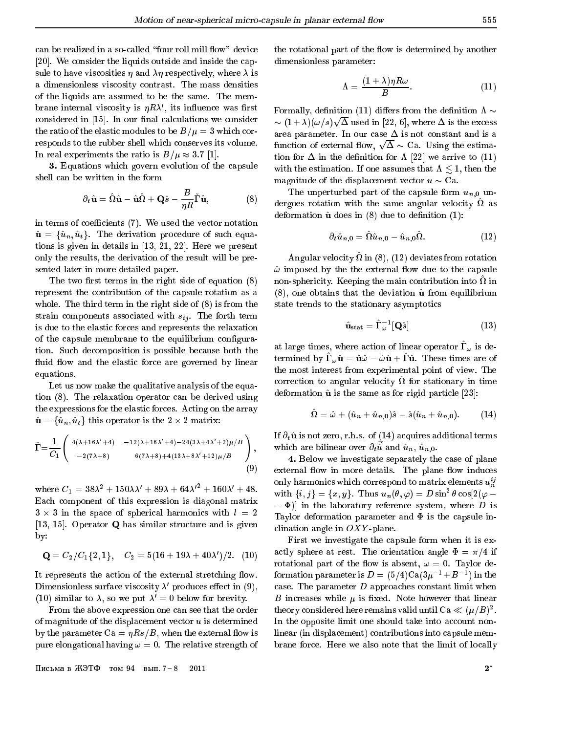can be realized in a so-called "four roll mill flow" device [20]. We consider the liquids outside and inside the capsule to have viscosities  $\eta$  and  $\lambda \eta$  respectively, where  $\lambda$  is a dimensionless viscosity contrast. The mass densities of the liquids are assumed to be the same. The mem- $P$  praise internal viscosity is  $\eta R\lambda$ , its influence was first considered in  $[15]$ . In our final calculations we consider the ratio of the elastic modules to be  $B/\mu = 3$  which corresponds to the rubber shell which conserves its volume. In real experiments the ratio is  $B/\mu \approx 3.7$  [1].

3. Equations which govern evolution of the capsule shell can be written in the form

$$
\partial_t \hat{\mathbf{u}} = \hat{\Omega} \hat{\mathbf{u}} - \hat{\mathbf{u}} \hat{\Omega} + \mathbf{Q} \hat{s} - \frac{B}{\eta R} \tilde{\Gamma} \hat{\mathbf{u}}, \tag{8}
$$

in terms of coefficients (7). We used the vector notation  $\hat{\mathbf{u}} = {\hat{u}_n, \hat{u}_t}$ . The derivation procedure of such equations is given in details in [13, 21, 22]. Here we present only the results, the derivation of the result will be presented later in more detailed paper.

The two first terms in the right side of equation  $(8)$ represent the contribution of the capsule rotation as a whole. The third term in the right side of (8) is from the strain components associated with  $s_{ij}$ . The forth term is due to the elastic forces and represents the relaxation of the capsule membrane to the equilibrium configuration. Such decomposition is possible because both the fluid flow and the elastic force are governed by linear equations.

Let us now make the qualitative analysis of the equation (8). The relaxation operator can be derived using the expressions for the elastic forces. Acting on the array  $\mathbb{P}$  = function is the 2 -  $\mathbb{P}$  the 2 -  $\mathbb{P}$  -  $\mathbb{P}$  -  $\mathbb{P}$  -  $\mathbb{P}$  -  $\mathbb{P}$  -  $\mathbb{P}$  -  $\mathbb{P}$  -  $\mathbb{P}$  -  $\mathbb{P}$  -  $\mathbb{P}$  -  $\mathbb{P}$  -  $\mathbb{P}$  -  $\mathbb{P}$  -  $\mathbb{P}$  -  $\mathbb{P}$  -  $\mathbb{P}$ 

$$
\check{\Gamma} = \frac{1}{C_1} \begin{pmatrix} 4(\lambda + 16\lambda' + 4) & -12(\lambda + 16\lambda' + 4) - 24(3\lambda + 4\lambda' + 2)\mu/B \\ -2(7\lambda + 8) & 6(7\lambda + 8) + 4(13\lambda + 8\lambda' + 12)\mu/B \end{pmatrix},
$$
\n(9)

where  $C_1 = 38\lambda^2 + 150\lambda\lambda' + 89\lambda + 64\lambda'^2 + 160\lambda' + 48$ . Each component of this expression is diagonal matrix 3 - 3 in the space of spherical harmonics with l = 2 [13, 15]. Operator <sup>Q</sup> has similar structure and is given by:

$$
\mathbf{Q} = C_2/C_1\{2, 1\}, \quad C_2 = 5(16 + 19\lambda + 40\lambda')/2. \quad (10)
$$

It represents the action of the external stretching flow. Dimensionless surface viscosity  $\lambda$  -produces effect in (9), (10) similar to  $\lambda$ , so we put  $\lambda' = 0$  below for brevity.

From the above expression one can see that the order of magnitude of the displacement vector  $u$  is determined by the parameter  $Ca = \eta Rs/B$ , when the external flow is pure elongational having  $\omega = 0$ . The relative strength of

Письма в ЖЭТФ гом 94 вып.  $7-8$  2011 2<sup>\*</sup>

the rotational part of the flow is determined by another dimensionless parameter:

$$
\Lambda = \frac{(1+\lambda)\eta R\omega}{B}.\tag{11}
$$

Formally, definition (11) differs from the definition  $\Lambda \sim$  (1 + )(!=s) <u>para a para a para a para a para a para a para a para a para a para a para a para a para a para a para a para a para a para a para a para a para a para a para a para a para a para a para a para a para a para a para a para</u> used in Fig. , where is the excess of  $\mathbb{R}^2$  , where  $\mathbb{R}^2$  , where  $\mathbb{R}^2$  , where  $\mathbb{R}^2$  , where  $\mathbb{R}^2$ area parameter. In our case  $\Delta$  is not constant and is a function of external flow,  $\sqrt{\Delta} \sim$  Ca. Using the estimation for  $\Delta$  in the definition for  $\Lambda$  [22] we arrive to (11) with the estimation. If one assumes that  $\Lambda \leq 1$ , then the magnitude of the displacement vector  $u \sim Ca$ .

The unperturbed part of the capsule form  $u_{n,0}$  undergoes rotation with the same angular velocity ^ as deformation  $\hat{u}$  does in (8) due to definition (1):

$$
\partial_t \hat{u}_{n,0} = \hat{\Omega} \hat{u}_{n,0} - \hat{u}_{n,0} \hat{\Omega}.
$$
 (12)

Angular velocity  $\alpha$  in (8), (12) deviates from rotation  $\hat{\omega}$  imposed by the the external flow due to the capsule non-sphericity. Keeping the main contribution into ^ in  $(8)$ , one obtains that the deviation  $\hat{u}$  from equilibrium state trends to the stationary asymptotics

$$
\hat{\mathbf{u}}_{\text{stat}} = \hat{\Gamma}_{\omega}^{-1}[\mathbf{Q}\hat{s}] \tag{13}
$$

at large times, where action or linear operator  $\mathbf{r}_{\omega}$  is determined by  $\mathbf{r}_{\omega} \mathbf{u} = \mathbf{u} \omega - \omega \mathbf{u} + \mathbf{r} \mathbf{u}$ . These times are or the most interest from experimental point of view. The correction to angular velocity so for stationary in time deformation  $\hat{u}$  is the same as for rigid particle [23]:

$$
\hat{\Omega} = \hat{\omega} + (\hat{u}_n + \hat{u}_{n,0})\hat{s} - \hat{s}(\hat{u}_n + \hat{u}_{n,0}).
$$
 (14)

If  $\partial_t \hat{\mathbf{u}}$  is not zero, r.h.s. of (14) acquires additional terms which are billinear over  $v_t u$  and  $u_n$ ,  $u_{n,0}$ .

4. Below we investigate separately the case of plane external flow in more details. The plane flow induces only harmonics which correspond to matrix elements  $u_n^{ij}$ with  $\{i, j\} = \{x, y\}$ . Thus  $u_n(\theta, \varphi) = D \sin^2 \theta \cos[2(\varphi - \varphi)]$  $\sim$  )] and laboratory reference system, where  $\sim$   $\sim$ Taylor deformation parameter and  $\Phi$  is the capsule inclination angle in  $OXY$ -plane.

First we investigate the capsule form when it is exactly sphere at rest. The orientation angle  $\Phi = \pi/4$  if rotational part of the flow is absent,  $\omega = 0$ . Taylor deformation parameter is  $D = (3/4)C a(3\mu^- + B^-)$  in the case. The parameter  $D$  approaches constant limit when B increases while  $\mu$  is fixed. Note however that linear theory considered here remains valid until Ua  $\ll (\mu/B)^{-}.$ In the opposite limit one should take into account nonlinear (in displacement) contributions into capsule membrane force. Here we also note that the limit of locally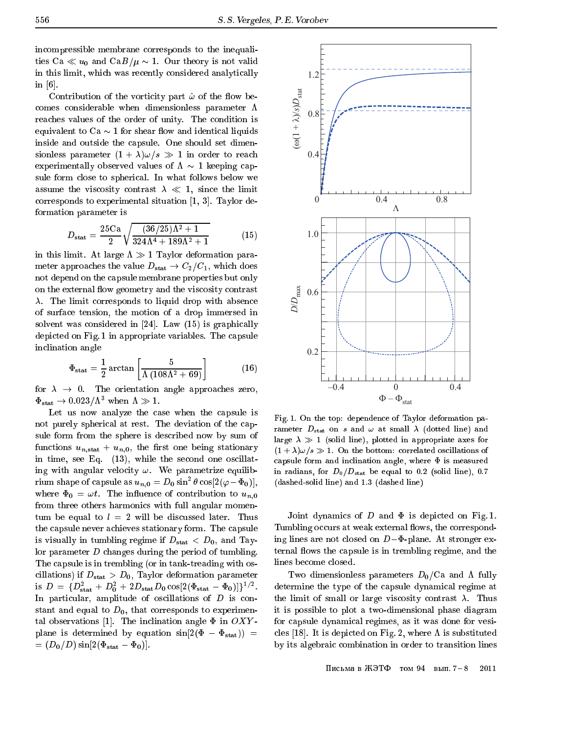incompressible membrane corresponds to the inequalities Ca  $\ll u_0$  and Ca $B/\mu \sim 1$ . Our theory is not valid in this limit, which was recently considered analytically in [6].

Contribution of the vorticity part  $\hat{\omega}$  of the flow becomes considerable when dimensionless parameter  $\Lambda$ reaches values of the order of unity. The condition is equivalent to  $Ca \sim 1$  for shear flow and identical liquids inside and outside the capsule. One should set dimensionless parameter  $(1 + \lambda)\omega/s \gg 1$  in order to reach experimentally observed values of  $\Lambda \sim 1$  keeping capsule form close to spherical. In what follows below we assume the viscosity contrast  $\lambda \ll 1$ , since the limit corresponds to experimental situation [1, 3]. Taylor deformation parameter is

$$
D_{\text{stat}} = \frac{25 \text{ Ca}}{2} \sqrt{\frac{(36/25)\Lambda^2 + 1}{324\Lambda^4 + 189\Lambda^2 + 1}} \tag{15}
$$

in this limit. At large  $\Lambda \gg 1$  Taylor deformation parameter approaches the value  $D_{stat} \rightarrow C_2/C_1$ , which does not depend on the capsule membrane properties but only on the external flow geometry and the viscosity contrast  $\lambda$ . The limit corresponds to liquid drop with absence of surface tension, the motion of a drop immersed in solvent was considered in [24]. Law (15) is graphically depicted on Fig. 1 in appropriate variables. The capsule inclination angle

$$
\Phi_{\text{stat}} = \frac{1}{2} \arctan \left[ \frac{5}{\Lambda \left( 108\Lambda^2 + 69 \right)} \right] \tag{16}
$$

for  $\lambda \rightarrow 0$ . The orientation angle approaches zero,  $\Phi_{\text{stat}} \rightarrow 0.023/\Lambda^3$  when  $\Lambda \gg 1$ .

Let us now analyze the case when the capsule is not purely spherical at rest. The deviation of the capsule form from the sphere is described now by sum of functions  $u_{n,\text{stat}} + u_{n,0}$ , the first one being stationary in time, see Eq. (13), while the second one oscillating with angular velocity  $\omega$ . We parametrize equilibrium shape of capsule as  $u_{n,0} = \nu_0 \sin^2 \theta \cos[2(\varphi - \Phi_0)],$ where  $\Phi_0 = \omega t$ . The influence of contribution to  $u_{n,0}$ from three others harmonics with full angular momentum be equal to  $l = 2$  will be discussed later. Thus the capsule never achieves stationary form. The capsule is visually in tumbling regime if  $D_{stat} < D_0$ , and Taylor parameter D changes during the period of tumbling. The capsule is in trembling (or in tank-treading with oscillations) if  $D_{stat} > D_0$ , Taylor deformation parameter is  $D = \{D_{\text{stat}} + D_0 + 2D_{\text{stat}}D_0\cos[2(\Psi_{\text{stat}}-\Psi_0)]\}\$ . In particular, amplitude of oscillations of D is constant and equal to  $D_0$ , that corresponds to experimental observations [1]. The inclination angle  $\Phi$  in  $OXY$ plane is determined by equation  $sin[2(\Phi - \Phi_{stat}))$  =  $=(D_0/D)\sin[2(\Phi_{\rm stat}-\Phi_0)].$ 



Fig. 1. On the top: dependence of Taylor deformation parameter  $D_{stat}$  on s and  $\omega$  at small  $\lambda$  (dotted line) and large  $\lambda \gg 1$  (solid line), plotted in appropriate axes for  $(1 + \lambda)\omega/s \gg 1$ . On the bottom: correlated oscillations of capsule form and inclination angle, where  $\Phi$  is measured in radians, for  $D_0/D_{stat}$  be equal to 0.2 (solid line), 0.7 (dashed-solid line) and 1.3 (dashed line)

Joint dynamics of  $D$  and  $\Phi$  is depicted on Fig. 1. Tumbling occurs at weak external flows, the corresponding lines are not closed on  $D-\Phi$ -plane. At stronger external flows the capsule is in trembling regime, and the lines become closed.

Two dimensionless parameters  $D_0/Ca$  and  $\Lambda$  fully determine the type of the capsule dynamical regime at the limit of small or large viscosity contrast  $\lambda$ . Thus it is possible to plot a two-dimensional phase diagram for capsule dynamical regimes, as it was done for vesicles [18]. It is depicted on Fig. 2, where  $\Lambda$  is substituted by its algebraic combination in order to transition lines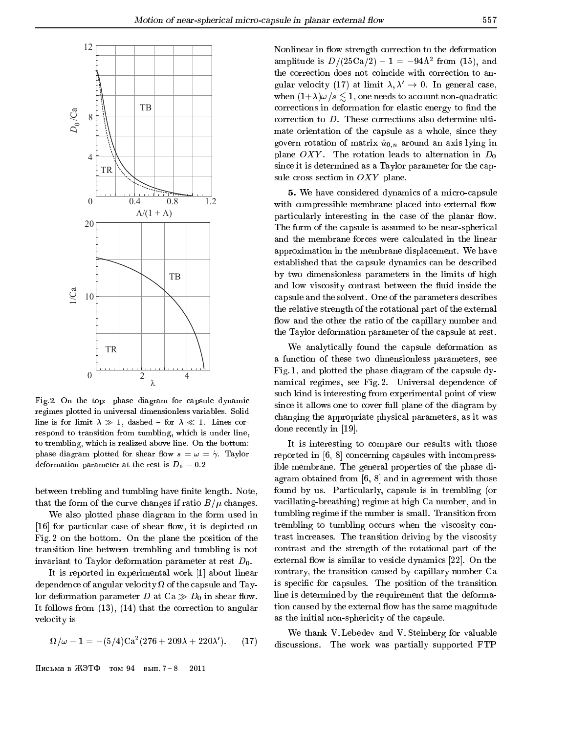

Fig.2. On the top: phase diagram for capsule dynamic regimes plotted in universal dimensionless variables. Solid line is for limit  $\lambda \gg 1$ , dashed - for  $\lambda \ll 1$ . Lines correspond to transition from tumbling, which is under line, to trembling, which is realized above line. On the bottom: phase diagram plotted for shear flow  $s = \omega = \dot{\gamma}$ . Taylor deformation parameter at the rest is  $D_0 = 0.2$ 

between trebling and tumbling have finite length. Note, that the form of the curve changes if ratio  $B/\mu$  changes.

We also plotted phase diagram in the form used in [16] for particular case of shear flow, it is depicted on Fig. 2 on the bottom. On the plane the position of the transition line between trembling and tumbling is not invariant to Taylor deformation parameter at rest  $D_0$ .

It is reported in experimental work [1] about linear dependence of angular velocity of the capsule and Taylor deformation parameter D at  $Ca \gg D_0$  in shear flow. It follows from (13), (14) that the correction to angular velocity is

$$
\Omega/\omega - 1 = -(5/4)\text{Ca}^2(276 + 209\lambda + 220\lambda').
$$
 (17)

Письма в ЖЭТФ том 94 вып.  $7-8$ 2011 Nonlinear in flow strength correction to the deformation amplitude is  $D/(25Ca/2) - 1 = -94\Lambda$  from (15), and the correction does not coincide with correction to angular velocity (17) at limit  $\lambda, \lambda' \rightarrow 0$ . In general case, when  $(1+\lambda)\omega/s \lesssim 1$ , one needs to account non-quadratic corrections in deformation for elastic energy to find the correction to D. These corrections also determine ultimate orientation of the capsule as a whole, since they govern rotation of matrix  $\hat{u}_{0,n}$  around an axis lying in plane OXY. The rotation leads to alternation in  $D_0$ since it is determined as a Taylor parameter for the capsule cross section in  $OXY$  plane.

5. We have considered dynamics of a micro-capsule with compressible membrane placed into external flow particularly interesting in the case of the planar flow. The form of the capsule is assumed to be near-spherical and the membrane forces were calculated in the linear approximation in the membrane displacement. We have established that the capsule dynamics can be described by two dimensionless parameters in the limits of high and low viscosity contrast between the fluid inside the capsule and the solvent. One of the parameters describes the relative strength of the rotational part of the external flow and the other the ratio of the capillary number and the Taylor deformation parameter of the capsule at rest.

We analytically found the capsule deformation as a function of these two dimensionless parameters, see Fig. 1, and plotted the phase diagram of the capsule dynamical regimes, see Fig. 2. Universal dependence of such kind is interesting from experimental point of view since it allows one to cover full plane of the diagram by changing the appropriate physical parameters, as it was done recently in [19].

It is interesting to compare our results with those reported in [6, 8] concerning capsules with incompressible membrane. The general properties of the phase diagram obtained from  $[6, 8]$  and in agreement with those found by us. Particularly, capsule is in trembling (or vacillating-breathing) regime at high Ca number, and in tumbling regime if the number is small. Transition from trembling to tumbling occurs when the viscosity contrast increases. The transition driving by the viscosity contrast and the strength of the rotational part of the external flow is similar to vesicle dynamics [22]. On the contrary, the transition caused by capillary number Ca is specic for capsules. The position of the transition line is determined by the requirement that the deformation caused by the external flow has the same magnitude as the initial non-sphericity of the capsule.

We thank V. Lebedev and V. Steinberg for valuable discussions. The work was partially supported FTP